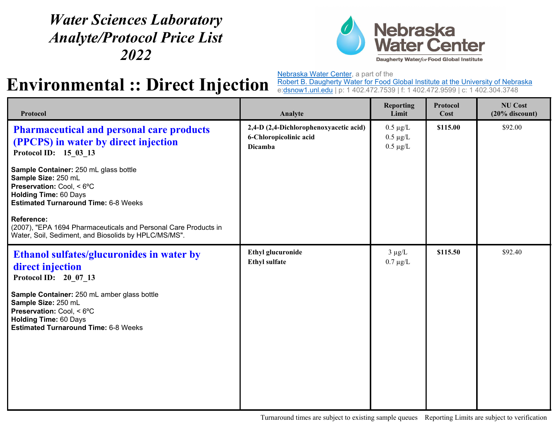## *Water Sciences Laboratory Analyte/Protocol Price List 2022*



## **Environmental :: Direct Injection**

Nebraska Water Center, a part of the

Robert B. Daugherty Water for Food Global Institute at the University of Nebraska e:<u>dsnow1.unl.edu</u> | p: 1 402.472.7539 | f: 1 402.472.9599 | c: 1 402.304.3748

| Protocol                                                                                                                                                                                                                                                                        | Analyte                                                                            | <b>Reporting</b><br>Limit                       | Protocol<br>Cost | <b>NU Cost</b><br>$(20%$ discount) |
|---------------------------------------------------------------------------------------------------------------------------------------------------------------------------------------------------------------------------------------------------------------------------------|------------------------------------------------------------------------------------|-------------------------------------------------|------------------|------------------------------------|
| <b>Pharmaceutical and personal care products</b><br>(PPCPS) in water by direct injection<br>Protocol ID: 15_03_13                                                                                                                                                               | 2,4-D (2,4-Dichlorophenoxyacetic acid)<br>6-Chloropicolinic acid<br><b>Dicamba</b> | $0.5 \mu g/L$<br>$0.5 \mu g/L$<br>$0.5 \mu g/L$ | \$115.00         | \$92.00                            |
| Sample Container: 250 mL glass bottle<br>Sample Size: 250 mL<br>Preservation: Cool, < 6°C<br><b>Holding Time: 60 Days</b><br><b>Estimated Turnaround Time: 6-8 Weeks</b>                                                                                                        |                                                                                    |                                                 |                  |                                    |
| <b>Reference:</b><br>(2007), "EPA 1694 Pharmaceuticals and Personal Care Products in<br>Water, Soil, Sediment, and Biosolids by HPLC/MS/MS".                                                                                                                                    |                                                                                    |                                                 |                  |                                    |
| <b>Ethanol sulfates/glucuronides in water by</b><br>direct injection<br>Protocol ID: 20 07 13<br>Sample Container: 250 mL amber glass bottle<br>Sample Size: 250 mL<br>Preservation: Cool, < 6°C<br><b>Holding Time: 60 Days</b><br><b>Estimated Turnaround Time: 6-8 Weeks</b> | <b>Ethyl glucuronide</b><br><b>Ethyl sulfate</b>                                   | $3 \mu g/L$<br>$0.7 \mu g/L$                    | \$115.50         | \$92.40                            |

Turnaround times are subject to existing sample queues Reporting Limits are subject to verification